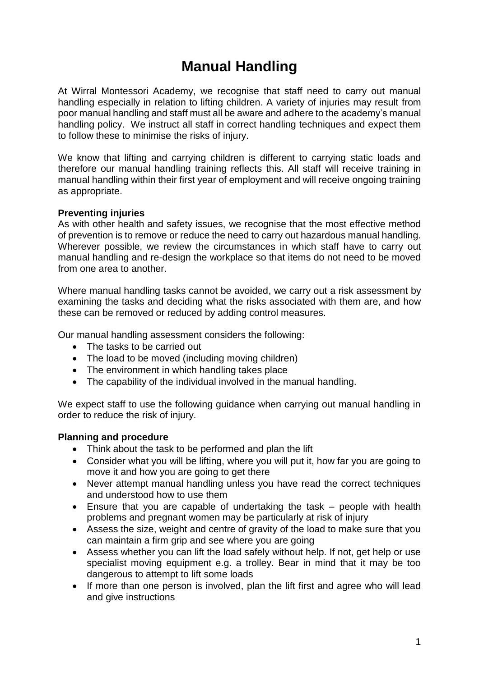# **Manual Handling**

At Wirral Montessori Academy, we recognise that staff need to carry out manual handling especially in relation to lifting children. A variety of injuries may result from poor manual handling and staff must all be aware and adhere to the academy's manual handling policy. We instruct all staff in correct handling techniques and expect them to follow these to minimise the risks of injury.

We know that lifting and carrying children is different to carrying static loads and therefore our manual handling training reflects this. All staff will receive training in manual handling within their first year of employment and will receive ongoing training as appropriate.

#### **Preventing injuries**

As with other health and safety issues, we recognise that the most effective method of prevention is to remove or reduce the need to carry out hazardous manual handling. Wherever possible, we review the circumstances in which staff have to carry out manual handling and re-design the workplace so that items do not need to be moved from one area to another.

Where manual handling tasks cannot be avoided, we carry out a risk assessment by examining the tasks and deciding what the risks associated with them are, and how these can be removed or reduced by adding control measures.

Our manual handling assessment considers the following:

- The tasks to be carried out
- The load to be moved (including moving children)
- The environment in which handling takes place
- The capability of the individual involved in the manual handling.

We expect staff to use the following guidance when carrying out manual handling in order to reduce the risk of injury.

#### **Planning and procedure**

- Think about the task to be performed and plan the lift
- Consider what you will be lifting, where you will put it, how far you are going to move it and how you are going to get there
- Never attempt manual handling unless you have read the correct techniques and understood how to use them
- Ensure that you are capable of undertaking the task people with health problems and pregnant women may be particularly at risk of injury
- Assess the size, weight and centre of gravity of the load to make sure that you can maintain a firm grip and see where you are going
- Assess whether you can lift the load safely without help. If not, get help or use specialist moving equipment e.g. a trolley. Bear in mind that it may be too dangerous to attempt to lift some loads
- If more than one person is involved, plan the lift first and agree who will lead and give instructions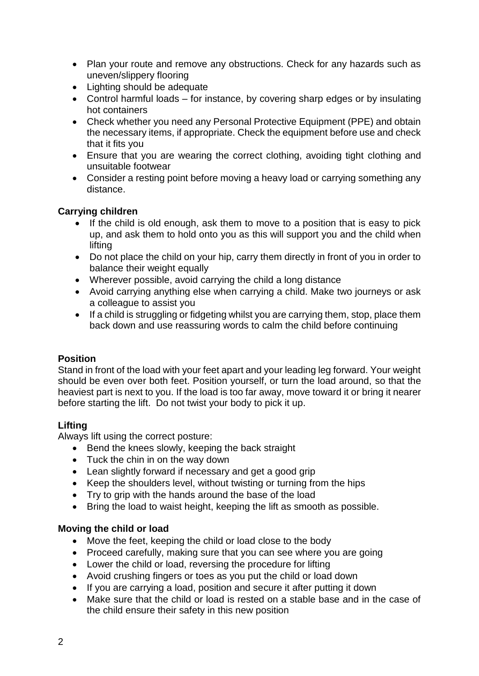- Plan your route and remove any obstructions. Check for any hazards such as uneven/slippery flooring
- Lighting should be adequate
- Control harmful loads for instance, by covering sharp edges or by insulating hot containers
- Check whether you need any Personal Protective Equipment (PPE) and obtain the necessary items, if appropriate. Check the equipment before use and check that it fits you
- Ensure that you are wearing the correct clothing, avoiding tight clothing and unsuitable footwear
- Consider a resting point before moving a heavy load or carrying something any distance.

# **Carrying children**

- If the child is old enough, ask them to move to a position that is easy to pick up, and ask them to hold onto you as this will support you and the child when lifting
- Do not place the child on your hip, carry them directly in front of you in order to balance their weight equally
- Wherever possible, avoid carrying the child a long distance
- Avoid carrying anything else when carrying a child. Make two journeys or ask a colleague to assist you
- If a child is struggling or fidgeting whilst you are carrying them, stop, place them back down and use reassuring words to calm the child before continuing

# **Position**

Stand in front of the load with your feet apart and your leading leg forward. Your weight should be even over both feet. Position yourself, or turn the load around, so that the heaviest part is next to you. If the load is too far away, move toward it or bring it nearer before starting the lift. Do not twist your body to pick it up.

# **Lifting**

Always lift using the correct posture:

- Bend the knees slowly, keeping the back straight
- Tuck the chin in on the way down
- Lean slightly forward if necessary and get a good grip
- Keep the shoulders level, without twisting or turning from the hips
- Try to grip with the hands around the base of the load
- Bring the load to waist height, keeping the lift as smooth as possible.

# **Moving the child or load**

- Move the feet, keeping the child or load close to the body
- Proceed carefully, making sure that you can see where you are going
- Lower the child or load, reversing the procedure for lifting
- Avoid crushing fingers or toes as you put the child or load down
- If you are carrying a load, position and secure it after putting it down
- Make sure that the child or load is rested on a stable base and in the case of the child ensure their safety in this new position